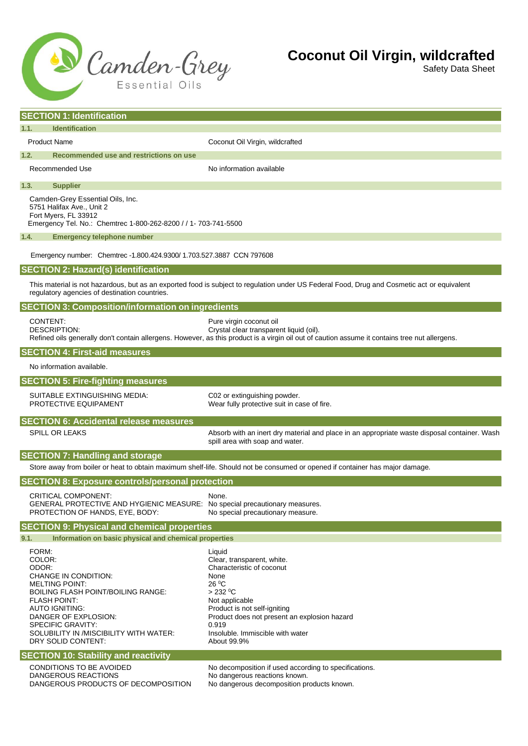

## **Coconut Oil Virgin, wildcrafted**

Safety Data Sheet

| <b>SECTION 1: Identification</b>                                                                                                            |                                                                                                                                                                                                                                                         |                                                                                                                                                                                                                                                                       |
|---------------------------------------------------------------------------------------------------------------------------------------------|---------------------------------------------------------------------------------------------------------------------------------------------------------------------------------------------------------------------------------------------------------|-----------------------------------------------------------------------------------------------------------------------------------------------------------------------------------------------------------------------------------------------------------------------|
| <b>Identification</b><br>1.1.                                                                                                               |                                                                                                                                                                                                                                                         |                                                                                                                                                                                                                                                                       |
|                                                                                                                                             | <b>Product Name</b>                                                                                                                                                                                                                                     | Coconut Oil Virgin, wildcrafted                                                                                                                                                                                                                                       |
| 1.2.<br>Recommended use and restrictions on use                                                                                             |                                                                                                                                                                                                                                                         |                                                                                                                                                                                                                                                                       |
|                                                                                                                                             | Recommended Use                                                                                                                                                                                                                                         | No information available                                                                                                                                                                                                                                              |
| 1.3.<br><b>Supplier</b>                                                                                                                     |                                                                                                                                                                                                                                                         |                                                                                                                                                                                                                                                                       |
|                                                                                                                                             | Camden-Grey Essential Oils, Inc.<br>5751 Halifax Ave., Unit 2<br>Fort Myers, FL 33912<br>Emergency Tel. No.: Chemtrec 1-800-262-8200 / / 1- 703-741-5500                                                                                                |                                                                                                                                                                                                                                                                       |
| <b>Emergency telephone number</b><br>1.4.                                                                                                   |                                                                                                                                                                                                                                                         |                                                                                                                                                                                                                                                                       |
| Emergency number: Chemtrec -1.800.424.9300/1.703.527.3887 CCN 797608                                                                        |                                                                                                                                                                                                                                                         |                                                                                                                                                                                                                                                                       |
| <b>SECTION 2: Hazard(s) identification</b>                                                                                                  |                                                                                                                                                                                                                                                         |                                                                                                                                                                                                                                                                       |
| This material is not hazardous, but as an exported food is subject to regulation under US Federal Food, Drug and Cosmetic act or equivalent |                                                                                                                                                                                                                                                         |                                                                                                                                                                                                                                                                       |
| regulatory agencies of destination countries.                                                                                               |                                                                                                                                                                                                                                                         |                                                                                                                                                                                                                                                                       |
| <b>SECTION 3: Composition/information on ingredients</b>                                                                                    |                                                                                                                                                                                                                                                         |                                                                                                                                                                                                                                                                       |
| CONTENT:                                                                                                                                    | DESCRIPTION:                                                                                                                                                                                                                                            | Pure virgin coconut oil<br>Crystal clear transparent liquid (oil).<br>Refined oils generally don't contain allergens. However, as this product is a virgin oil out of caution assume it contains tree nut allergens.                                                  |
| <b>SECTION 4: First-aid measures</b>                                                                                                        |                                                                                                                                                                                                                                                         |                                                                                                                                                                                                                                                                       |
|                                                                                                                                             | No information available.                                                                                                                                                                                                                               |                                                                                                                                                                                                                                                                       |
| <b>SECTION 5: Fire-fighting measures</b>                                                                                                    |                                                                                                                                                                                                                                                         |                                                                                                                                                                                                                                                                       |
|                                                                                                                                             | SUITABLE EXTINGUISHING MEDIA:<br>PROTECTIVE EQUIPAMENT                                                                                                                                                                                                  | C02 or extinguishing powder.<br>Wear fully protective suit in case of fire.                                                                                                                                                                                           |
| <b>SECTION 6: Accidental release measures</b>                                                                                               |                                                                                                                                                                                                                                                         |                                                                                                                                                                                                                                                                       |
|                                                                                                                                             | SPILL OR LEAKS                                                                                                                                                                                                                                          | Absorb with an inert dry material and place in an appropriate waste disposal container. Wash<br>spill area with soap and water.                                                                                                                                       |
| <b>SECTION 7: Handling and storage</b>                                                                                                      |                                                                                                                                                                                                                                                         |                                                                                                                                                                                                                                                                       |
| Store away from boiler or heat to obtain maximum shelf-life. Should not be consumed or opened if container has major damage.                |                                                                                                                                                                                                                                                         |                                                                                                                                                                                                                                                                       |
| <b>SECTION 8: Exposure controls/personal protection</b>                                                                                     |                                                                                                                                                                                                                                                         |                                                                                                                                                                                                                                                                       |
|                                                                                                                                             | CRITICAL COMPONENT:<br>GENERAL PROTECTIVE AND HYGIENIC MEASURE: No special precautionary measures.<br>PROTECTION OF HANDS, EYE, BODY:                                                                                                                   | None.<br>No special precautionary measure.                                                                                                                                                                                                                            |
| <b>SECTION 9: Physical and chemical properties</b>                                                                                          |                                                                                                                                                                                                                                                         |                                                                                                                                                                                                                                                                       |
| Information on basic physical and chemical properties<br>9.1.                                                                               |                                                                                                                                                                                                                                                         |                                                                                                                                                                                                                                                                       |
| FORM:<br>COLOR:<br>ODOR:                                                                                                                    | CHANGE IN CONDITION:<br><b>MELTING POINT:</b><br><b>BOILING FLASH POINT/BOILING RANGE:</b><br><b>FLASH POINT:</b><br><b>AUTO IGNITING:</b><br>DANGER OF EXPLOSION:<br>SPECIFIC GRAVITY:<br>SOLUBILITY IN /MISCIBILITY WITH WATER:<br>DRY SOLID CONTENT: | Liquid<br>Clear, transparent, white.<br>Characteristic of coconut<br>None<br>$26^{\circ}$ C<br>> 232 °C<br>Not applicable<br>Product is not self-igniting<br>Product does not present an explosion hazard<br>0.919<br>Insoluble. Immiscible with water<br>About 99.9% |
| <b>SECTION 10: Stability and reactivity</b>                                                                                                 |                                                                                                                                                                                                                                                         |                                                                                                                                                                                                                                                                       |
|                                                                                                                                             | CONDITIONS TO BE AVOIDED<br>DANGEROUS REACTIONS<br>DANGEROUS PRODUCTS OF DECOMPOSITION                                                                                                                                                                  | No decomposition if used according to specifications.<br>No dangerous reactions known.<br>No dangerous decomposition products known.                                                                                                                                  |